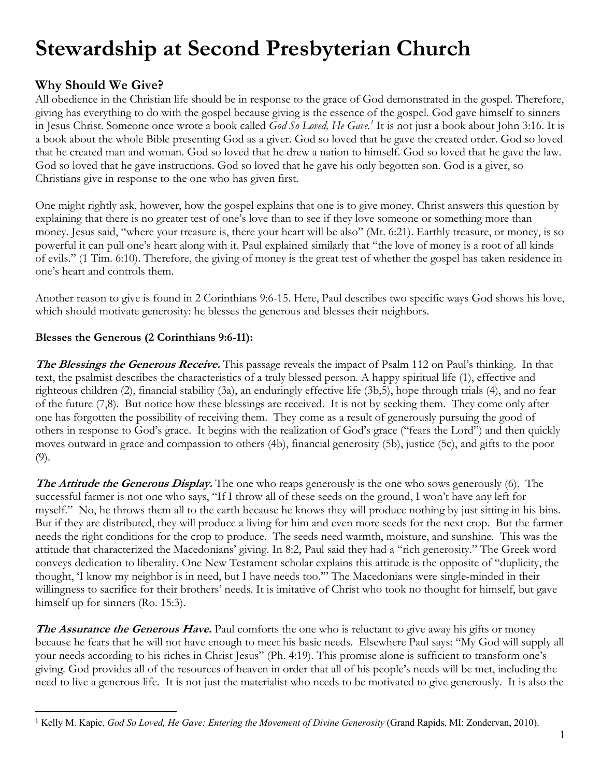# **Stewardship at Second Presbyterian Church**

# **Why Should We Give?**

All obedience in the Christian life should be in response to the grace of God demonstrated in the gospel. Therefore, giving has everything to do with the gospel because giving is the essence of the gospel. God gave himself to sinners in Jesus Christ. Someone once wrote a book called *God So Loved, He Gave.1* It is not just a book about John 3:16. It is a book about the whole Bible presenting God as a giver. God so loved that he gave the created order. God so loved that he created man and woman. God so loved that he drew a nation to himself. God so loved that he gave the law. God so loved that he gave instructions. God so loved that he gave his only begotten son. God is a giver, so Christians give in response to the one who has given first.

One might rightly ask, however, how the gospel explains that one is to give money. Christ answers this question by explaining that there is no greater test of one's love than to see if they love someone or something more than money. Jesus said, "where your treasure is, there your heart will be also" (Mt. 6:21). Earthly treasure, or money, is so powerful it can pull one's heart along with it. Paul explained similarly that "the love of money is a root of all kinds of evils." (1 Tim. 6:10). Therefore, the giving of money is the great test of whether the gospel has taken residence in one's heart and controls them.

Another reason to give is found in 2 Corinthians 9:6-15. Here, Paul describes two specific ways God shows his love, which should motivate generosity: he blesses the generous and blesses their neighbors.

# **Blesses the Generous (2 Corinthians 9:6-11):**

**The Blessings the Generous Receive.** This passage reveals the impact of Psalm 112 on Paul's thinking. In that text, the psalmist describes the characteristics of a truly blessed person. A happy spiritual life (1), effective and righteous children (2), financial stability (3a), an enduringly effective life (3b,5), hope through trials (4), and no fear of the future (7,8). But notice how these blessings are received. It is not by seeking them. They come only after one has forgotten the possibility of receiving them. They come as a result of generously pursuing the good of others in response to God's grace. It begins with the realization of God's grace ("fears the Lord") and then quickly moves outward in grace and compassion to others (4b), financial generosity (5b), justice (5c), and gifts to the poor (9).

**The Attitude the Generous Display.** The one who reaps generously is the one who sows generously (6). The successful farmer is not one who says, "If I throw all of these seeds on the ground, I won't have any left for myself." No, he throws them all to the earth because he knows they will produce nothing by just sitting in his bins. But if they are distributed, they will produce a living for him and even more seeds for the next crop. But the farmer needs the right conditions for the crop to produce. The seeds need warmth, moisture, and sunshine. This was the attitude that characterized the Macedonians' giving. In 8:2, Paul said they had a "rich generosity." The Greek word conveys dedication to liberality. One New Testament scholar explains this attitude is the opposite of "duplicity, the thought, 'I know my neighbor is in need, but I have needs too.'" The Macedonians were single-minded in their willingness to sacrifice for their brothers' needs. It is imitative of Christ who took no thought for himself, but gave himself up for sinners (Ro. 15:3).

**The Assurance the Generous Have.** Paul comforts the one who is reluctant to give away his gifts or money because he fears that he will not have enough to meet his basic needs. Elsewhere Paul says: "My God will supply all your needs according to his riches in Christ Jesus" (Ph. 4:19). This promise alone is sufficient to transform one's giving. God provides all of the resources of heaven in order that all of his people's needs will be met, including the need to live a generous life. It is not just the materialist who needs to be motivated to give generously. It is also the

 <sup>1</sup> Kelly M. Kapic, *God So Loved, He Gave: Entering the Movement of Divine Generosity* (Grand Rapids, MI: Zondervan, 2010).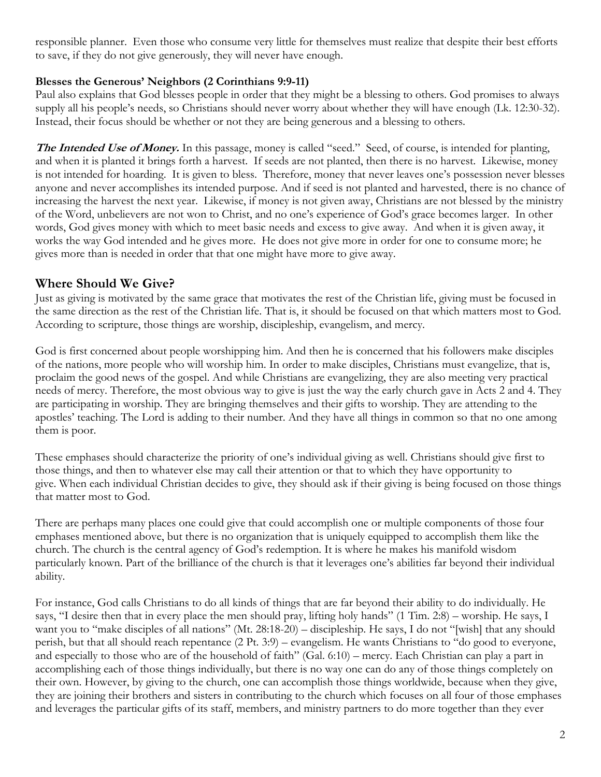responsible planner. Even those who consume very little for themselves must realize that despite their best efforts to save, if they do not give generously, they will never have enough.

#### **Blesses the Generous' Neighbors (2 Corinthians 9:9-11)**

Paul also explains that God blesses people in order that they might be a blessing to others. God promises to always supply all his people's needs, so Christians should never worry about whether they will have enough (Lk. 12:30-32). Instead, their focus should be whether or not they are being generous and a blessing to others.

The Intended Use of Money. In this passage, money is called "seed." Seed, of course, is intended for planting, and when it is planted it brings forth a harvest. If seeds are not planted, then there is no harvest. Likewise, money is not intended for hoarding. It is given to bless. Therefore, money that never leaves one's possession never blesses anyone and never accomplishes its intended purpose. And if seed is not planted and harvested, there is no chance of increasing the harvest the next year. Likewise, if money is not given away, Christians are not blessed by the ministry of the Word, unbelievers are not won to Christ, and no one's experience of God's grace becomes larger. In other words, God gives money with which to meet basic needs and excess to give away. And when it is given away, it works the way God intended and he gives more. He does not give more in order for one to consume more; he gives more than is needed in order that that one might have more to give away.

# **Where Should We Give?**

Just as giving is motivated by the same grace that motivates the rest of the Christian life, giving must be focused in the same direction as the rest of the Christian life. That is, it should be focused on that which matters most to God. According to scripture, those things are worship, discipleship, evangelism, and mercy.

God is first concerned about people worshipping him. And then he is concerned that his followers make disciples of the nations, more people who will worship him. In order to make disciples, Christians must evangelize, that is, proclaim the good news of the gospel. And while Christians are evangelizing, they are also meeting very practical needs of mercy. Therefore, the most obvious way to give is just the way the early church gave in Acts 2 and 4. They are participating in worship. They are bringing themselves and their gifts to worship. They are attending to the apostles' teaching. The Lord is adding to their number. And they have all things in common so that no one among them is poor.

These emphases should characterize the priority of one's individual giving as well. Christians should give first to those things, and then to whatever else may call their attention or that to which they have opportunity to give. When each individual Christian decides to give, they should ask if their giving is being focused on those things that matter most to God.

There are perhaps many places one could give that could accomplish one or multiple components of those four emphases mentioned above, but there is no organization that is uniquely equipped to accomplish them like the church. The church is the central agency of God's redemption. It is where he makes his manifold wisdom particularly known. Part of the brilliance of the church is that it leverages one's abilities far beyond their individual ability.

For instance, God calls Christians to do all kinds of things that are far beyond their ability to do individually. He says, "I desire then that in every place the men should pray, lifting holy hands" (1 Tim. 2:8) – worship. He says, I want you to "make disciples of all nations" (Mt. 28:18-20) – discipleship. He says, I do not "[wish] that any should perish, but that all should reach repentance (2 Pt. 3:9) – evangelism. He wants Christians to "do good to everyone, and especially to those who are of the household of faith" (Gal. 6:10) – mercy. Each Christian can play a part in accomplishing each of those things individually, but there is no way one can do any of those things completely on their own. However, by giving to the church, one can accomplish those things worldwide, because when they give, they are joining their brothers and sisters in contributing to the church which focuses on all four of those emphases and leverages the particular gifts of its staff, members, and ministry partners to do more together than they ever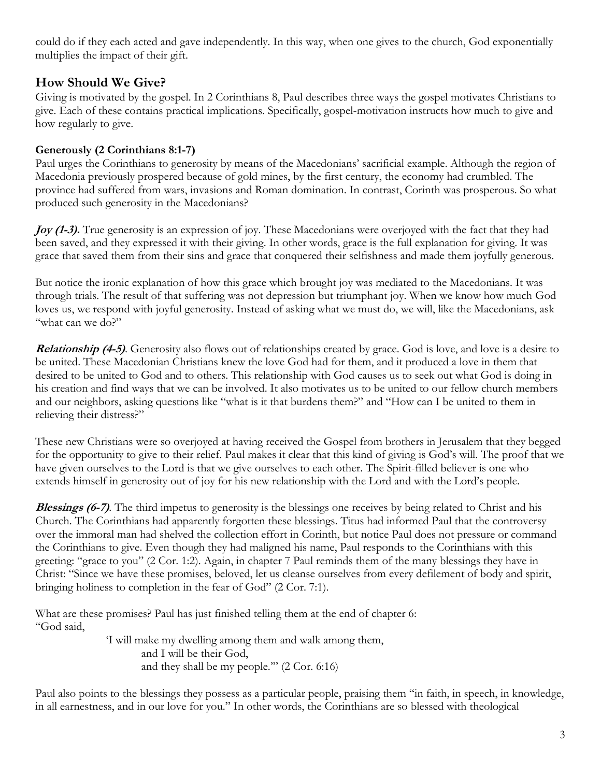could do if they each acted and gave independently. In this way, when one gives to the church, God exponentially multiplies the impact of their gift.

# **How Should We Give?**

Giving is motivated by the gospel. In 2 Corinthians 8, Paul describes three ways the gospel motivates Christians to give. Each of these contains practical implications. Specifically, gospel-motivation instructs how much to give and how regularly to give.

## **Generously (2 Corinthians 8:1-7)**

Paul urges the Corinthians to generosity by means of the Macedonians' sacrificial example. Although the region of Macedonia previously prospered because of gold mines, by the first century, the economy had crumbled. The province had suffered from wars, invasions and Roman domination. In contrast, Corinth was prosperous. So what produced such generosity in the Macedonians?

**Joy (1-3).** True generosity is an expression of joy. These Macedonians were overjoyed with the fact that they had been saved, and they expressed it with their giving. In other words, grace is the full explanation for giving. It was grace that saved them from their sins and grace that conquered their selfishness and made them joyfully generous.

But notice the ironic explanation of how this grace which brought joy was mediated to the Macedonians. It was through trials. The result of that suffering was not depression but triumphant joy. When we know how much God loves us, we respond with joyful generosity. Instead of asking what we must do, we will, like the Macedonians, ask "what can we do?"

**Relationship (4-5)**. Generosity also flows out of relationships created by grace. God is love, and love is a desire to be united. These Macedonian Christians knew the love God had for them, and it produced a love in them that desired to be united to God and to others. This relationship with God causes us to seek out what God is doing in his creation and find ways that we can be involved. It also motivates us to be united to our fellow church members and our neighbors, asking questions like "what is it that burdens them?" and "How can I be united to them in relieving their distress?"

These new Christians were so overjoyed at having received the Gospel from brothers in Jerusalem that they begged for the opportunity to give to their relief. Paul makes it clear that this kind of giving is God's will. The proof that we have given ourselves to the Lord is that we give ourselves to each other. The Spirit-filled believer is one who extends himself in generosity out of joy for his new relationship with the Lord and with the Lord's people.

**Blessings (6-7)**. The third impetus to generosity is the blessings one receives by being related to Christ and his Church. The Corinthians had apparently forgotten these blessings. Titus had informed Paul that the controversy over the immoral man had shelved the collection effort in Corinth, but notice Paul does not pressure or command the Corinthians to give. Even though they had maligned his name, Paul responds to the Corinthians with this greeting: "grace to you" (2 Cor. 1:2). Again, in chapter 7 Paul reminds them of the many blessings they have in Christ: "Since we have these promises, beloved, let us cleanse ourselves from every defilement of body and spirit, bringing holiness to completion in the fear of God" (2 Cor. 7:1).

What are these promises? Paul has just finished telling them at the end of chapter 6: "God said,

'I will make my dwelling among them and walk among them, and I will be their God, and they shall be my people.'" (2 Cor. 6:16)

Paul also points to the blessings they possess as a particular people, praising them "in faith, in speech, in knowledge, in all earnestness, and in our love for you." In other words, the Corinthians are so blessed with theological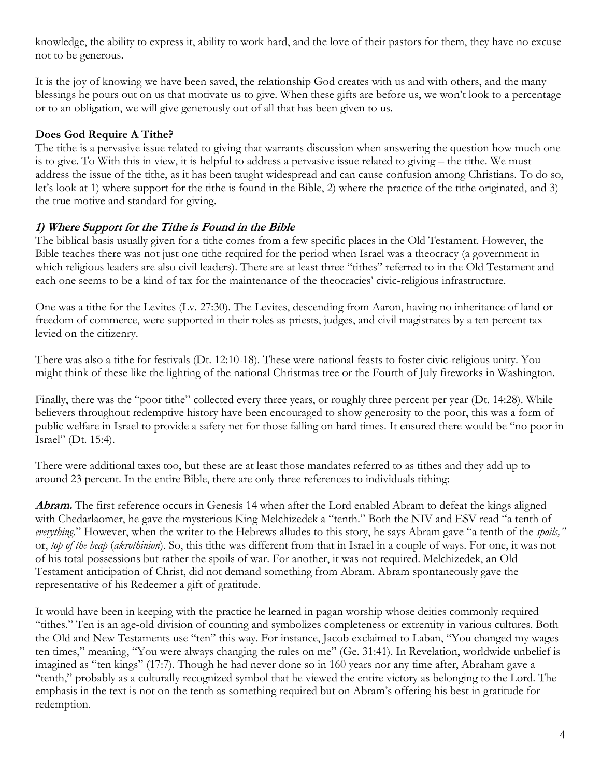knowledge, the ability to express it, ability to work hard, and the love of their pastors for them, they have no excuse not to be generous.

It is the joy of knowing we have been saved, the relationship God creates with us and with others, and the many blessings he pours out on us that motivate us to give. When these gifts are before us, we won't look to a percentage or to an obligation, we will give generously out of all that has been given to us.

#### **Does God Require A Tithe?**

The tithe is a pervasive issue related to giving that warrants discussion when answering the question how much one is to give. To With this in view, it is helpful to address a pervasive issue related to giving – the tithe. We must address the issue of the tithe, as it has been taught widespread and can cause confusion among Christians. To do so, let's look at 1) where support for the tithe is found in the Bible, 2) where the practice of the tithe originated, and 3) the true motive and standard for giving.

#### **1) Where Support for the Tithe is Found in the Bible**

The biblical basis usually given for a tithe comes from a few specific places in the Old Testament. However, the Bible teaches there was not just one tithe required for the period when Israel was a theocracy (a government in which religious leaders are also civil leaders). There are at least three "tithes" referred to in the Old Testament and each one seems to be a kind of tax for the maintenance of the theocracies' civic-religious infrastructure.

One was a tithe for the Levites (Lv. 27:30). The Levites, descending from Aaron, having no inheritance of land or freedom of commerce, were supported in their roles as priests, judges, and civil magistrates by a ten percent tax levied on the citizenry.

There was also a tithe for festivals (Dt. 12:10-18). These were national feasts to foster civic-religious unity. You might think of these like the lighting of the national Christmas tree or the Fourth of July fireworks in Washington.

Finally, there was the "poor tithe" collected every three years, or roughly three percent per year (Dt. 14:28). While believers throughout redemptive history have been encouraged to show generosity to the poor, this was a form of public welfare in Israel to provide a safety net for those falling on hard times. It ensured there would be "no poor in Israel" (Dt. 15:4).

There were additional taxes too, but these are at least those mandates referred to as tithes and they add up to around 23 percent. In the entire Bible, there are only three references to individuals tithing:

**Abram.** The first reference occurs in Genesis 14 when after the Lord enabled Abram to defeat the kings aligned with Chedarlaomer, he gave the mysterious King Melchizedek a "tenth." Both the NIV and ESV read "a tenth of *everything.*" However, when the writer to the Hebrews alludes to this story, he says Abram gave "a tenth of the *spoils,"*  or, *top of the heap* (*akrothinion*). So, this tithe was different from that in Israel in a couple of ways. For one, it was not of his total possessions but rather the spoils of war. For another, it was not required. Melchizedek, an Old Testament anticipation of Christ, did not demand something from Abram. Abram spontaneously gave the representative of his Redeemer a gift of gratitude.

It would have been in keeping with the practice he learned in pagan worship whose deities commonly required "tithes." Ten is an age-old division of counting and symbolizes completeness or extremity in various cultures. Both the Old and New Testaments use "ten" this way. For instance, Jacob exclaimed to Laban, "You changed my wages ten times," meaning, "You were always changing the rules on me" (Ge. 31:41). In Revelation, worldwide unbelief is imagined as "ten kings" (17:7). Though he had never done so in 160 years nor any time after, Abraham gave a "tenth," probably as a culturally recognized symbol that he viewed the entire victory as belonging to the Lord. The emphasis in the text is not on the tenth as something required but on Abram's offering his best in gratitude for redemption.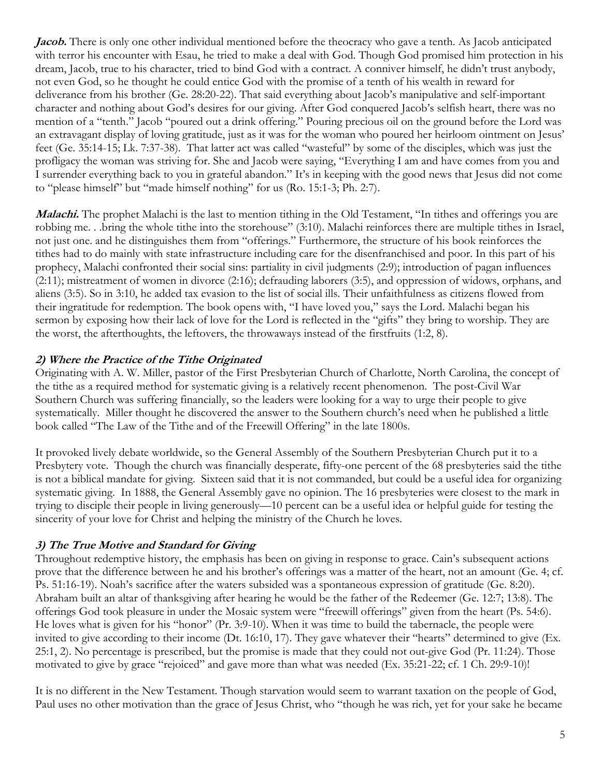*Jacob.* There is only one other individual mentioned before the theocracy who gave a tenth. As Jacob anticipated with terror his encounter with Esau, he tried to make a deal with God. Though God promised him protection in his dream, Jacob, true to his character, tried to bind God with a contract. A conniver himself, he didn't trust anybody, not even God, so he thought he could entice God with the promise of a tenth of his wealth in reward for deliverance from his brother (Ge. 28:20-22). That said everything about Jacob's manipulative and self-important character and nothing about God's desires for our giving. After God conquered Jacob's selfish heart, there was no mention of a "tenth." Jacob "poured out a drink offering." Pouring precious oil on the ground before the Lord was an extravagant display of loving gratitude, just as it was for the woman who poured her heirloom ointment on Jesus' feet (Ge. 35:14-15; Lk. 7:37-38). That latter act was called "wasteful" by some of the disciples, which was just the profligacy the woman was striving for. She and Jacob were saying, "Everything I am and have comes from you and I surrender everything back to you in grateful abandon." It's in keeping with the good news that Jesus did not come to "please himself" but "made himself nothing" for us (Ro. 15:1-3; Ph. 2:7).

**Malachi.** The prophet Malachi is the last to mention tithing in the Old Testament, "In tithes and offerings you are robbing me. . .bring the whole tithe into the storehouse" (3:10). Malachi reinforces there are multiple tithes in Israel, not just one. and he distinguishes them from "offerings." Furthermore, the structure of his book reinforces the tithes had to do mainly with state infrastructure including care for the disenfranchised and poor. In this part of his prophecy, Malachi confronted their social sins: partiality in civil judgments (2:9); introduction of pagan influences (2:11); mistreatment of women in divorce (2:16); defrauding laborers (3:5), and oppression of widows, orphans, and aliens (3:5). So in 3:10, he added tax evasion to the list of social ills. Their unfaithfulness as citizens flowed from their ingratitude for redemption. The book opens with, "I have loved you," says the Lord. Malachi began his sermon by exposing how their lack of love for the Lord is reflected in the "gifts" they bring to worship. They are the worst, the afterthoughts, the leftovers, the throwaways instead of the firstfruits (1:2, 8).

#### **2) Where the Practice of the Tithe Originated**

Originating with A. W. Miller, pastor of the First Presbyterian Church of Charlotte, North Carolina, the concept of the tithe as a required method for systematic giving is a relatively recent phenomenon. The post-Civil War Southern Church was suffering financially, so the leaders were looking for a way to urge their people to give systematically. Miller thought he discovered the answer to the Southern church's need when he published a little book called "The Law of the Tithe and of the Freewill Offering" in the late 1800s.

It provoked lively debate worldwide, so the General Assembly of the Southern Presbyterian Church put it to a Presbytery vote. Though the church was financially desperate, fifty-one percent of the 68 presbyteries said the tithe is not a biblical mandate for giving. Sixteen said that it is not commanded, but could be a useful idea for organizing systematic giving. In 1888, the General Assembly gave no opinion. The 16 presbyteries were closest to the mark in trying to disciple their people in living generously—10 percent can be a useful idea or helpful guide for testing the sincerity of your love for Christ and helping the ministry of the Church he loves.

#### **3) The True Motive and Standard for Giving**

Throughout redemptive history, the emphasis has been on giving in response to grace. Cain's subsequent actions prove that the difference between he and his brother's offerings was a matter of the heart, not an amount (Ge. 4; cf. Ps. 51:16-19). Noah's sacrifice after the waters subsided was a spontaneous expression of gratitude (Ge. 8:20). Abraham built an altar of thanksgiving after hearing he would be the father of the Redeemer (Ge. 12:7; 13:8). The offerings God took pleasure in under the Mosaic system were "freewill offerings" given from the heart (Ps. 54:6). He loves what is given for his "honor" (Pr. 3:9-10). When it was time to build the tabernacle, the people were invited to give according to their income (Dt. 16:10, 17). They gave whatever their "hearts" determined to give (Ex. 25:1, 2). No percentage is prescribed, but the promise is made that they could not out-give God (Pr. 11:24). Those motivated to give by grace "rejoiced" and gave more than what was needed (Ex. 35:21-22; cf. 1 Ch. 29:9-10)!

It is no different in the New Testament. Though starvation would seem to warrant taxation on the people of God, Paul uses no other motivation than the grace of Jesus Christ, who "though he was rich, yet for your sake he became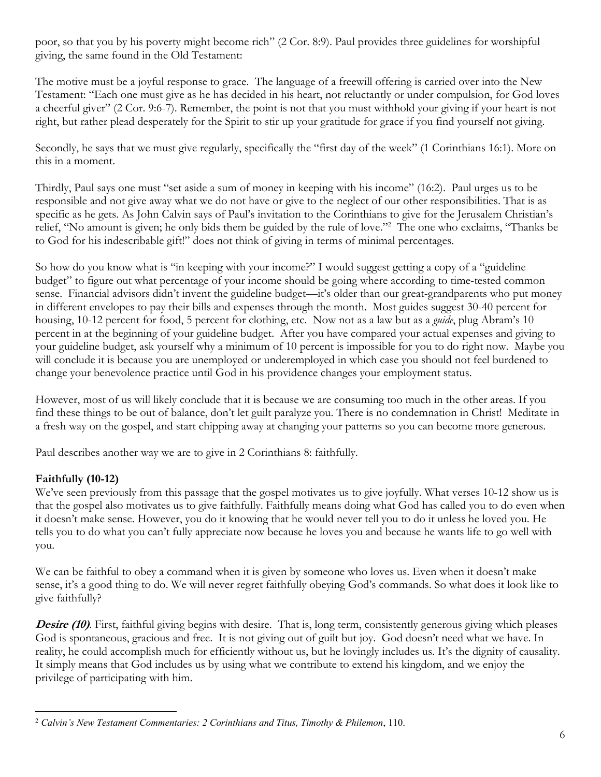poor, so that you by his poverty might become rich" (2 Cor. 8:9). Paul provides three guidelines for worshipful giving, the same found in the Old Testament:

The motive must be a joyful response to grace. The language of a freewill offering is carried over into the New Testament: "Each one must give as he has decided in his heart, not reluctantly or under compulsion, for God loves a cheerful giver" (2 Cor. 9:6-7). Remember, the point is not that you must withhold your giving if your heart is not right, but rather plead desperately for the Spirit to stir up your gratitude for grace if you find yourself not giving.

Secondly, he says that we must give regularly, specifically the "first day of the week" (1 Corinthians 16:1). More on this in a moment.

Thirdly, Paul says one must "set aside a sum of money in keeping with his income" (16:2). Paul urges us to be responsible and not give away what we do not have or give to the neglect of our other responsibilities. That is as specific as he gets. As John Calvin says of Paul's invitation to the Corinthians to give for the Jerusalem Christian's relief, "No amount is given; he only bids them be guided by the rule of love."2 The one who exclaims, "Thanks be to God for his indescribable gift!" does not think of giving in terms of minimal percentages.

So how do you know what is "in keeping with your income?" I would suggest getting a copy of a "guideline budget" to figure out what percentage of your income should be going where according to time-tested common sense. Financial advisors didn't invent the guideline budget—it's older than our great-grandparents who put money in different envelopes to pay their bills and expenses through the month. Most guides suggest 30-40 percent for housing, 10-12 percent for food, 5 percent for clothing, etc. Now not as a law but as a *guide*, plug Abram's 10 percent in at the beginning of your guideline budget. After you have compared your actual expenses and giving to your guideline budget, ask yourself why a minimum of 10 percent is impossible for you to do right now. Maybe you will conclude it is because you are unemployed or underemployed in which case you should not feel burdened to change your benevolence practice until God in his providence changes your employment status.

However, most of us will likely conclude that it is because we are consuming too much in the other areas. If you find these things to be out of balance, don't let guilt paralyze you. There is no condemnation in Christ! Meditate in a fresh way on the gospel, and start chipping away at changing your patterns so you can become more generous.

Paul describes another way we are to give in 2 Corinthians 8: faithfully.

## **Faithfully (10-12)**

We've seen previously from this passage that the gospel motivates us to give joyfully. What verses 10-12 show us is that the gospel also motivates us to give faithfully. Faithfully means doing what God has called you to do even when it doesn't make sense. However, you do it knowing that he would never tell you to do it unless he loved you. He tells you to do what you can't fully appreciate now because he loves you and because he wants life to go well with you.

We can be faithful to obey a command when it is given by someone who loves us. Even when it doesn't make sense, it's a good thing to do. We will never regret faithfully obeying God's commands. So what does it look like to give faithfully?

**Desire (10)**. First, faithful giving begins with desire. That is, long term, consistently generous giving which pleases God is spontaneous, gracious and free. It is not giving out of guilt but joy. God doesn't need what we have. In reality, he could accomplish much for efficiently without us, but he lovingly includes us. It's the dignity of causality. It simply means that God includes us by using what we contribute to extend his kingdom, and we enjoy the privilege of participating with him.

 <sup>2</sup> *Calvin's New Testament Commentaries: 2 Corinthians and Titus, Timothy & Philemon*, 110.